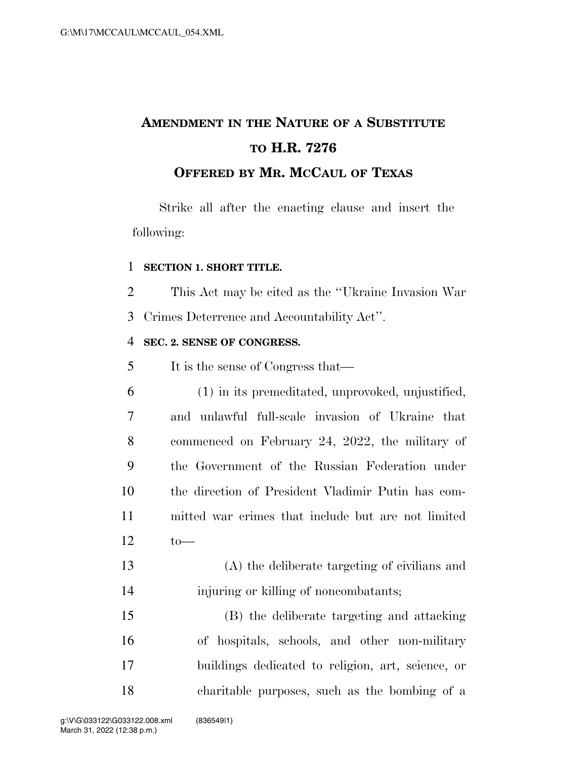## **AMENDMENT IN THE NATURE OF A SUBSTITUTE TO H.R. 7276 OFFERED BY MR. MCCAUL OF TEXAS**

Strike all after the enacting clause and insert the following:

## **SECTION 1. SHORT TITLE.**

This Act may be cited as the ''Ukraine Invasion War

Crimes Deterrence and Accountability Act''.

## **SEC. 2. SENSE OF CONGRESS.**

It is the sense of Congress that—

| 6  | (1) in its premeditated, unprovoked, unjustified,  |
|----|----------------------------------------------------|
| 7  | and unlawful full-scale invasion of Ukraine that   |
| 8  | commenced on February 24, 2022, the military of    |
| 9  | the Government of the Russian Federation under     |
| 10 | the direction of President Vladimir Putin has com- |
| 11 | mitted war crimes that include but are not limited |
| 12 | to                                                 |
| 13 | (A) the deliberate targeting of civilians and      |
| 14 | injuring or killing of noncombatants;              |

 (B) the deliberate targeting and attacking of hospitals, schools, and other non-military buildings dedicated to religion, art, science, or charitable purposes, such as the bombing of a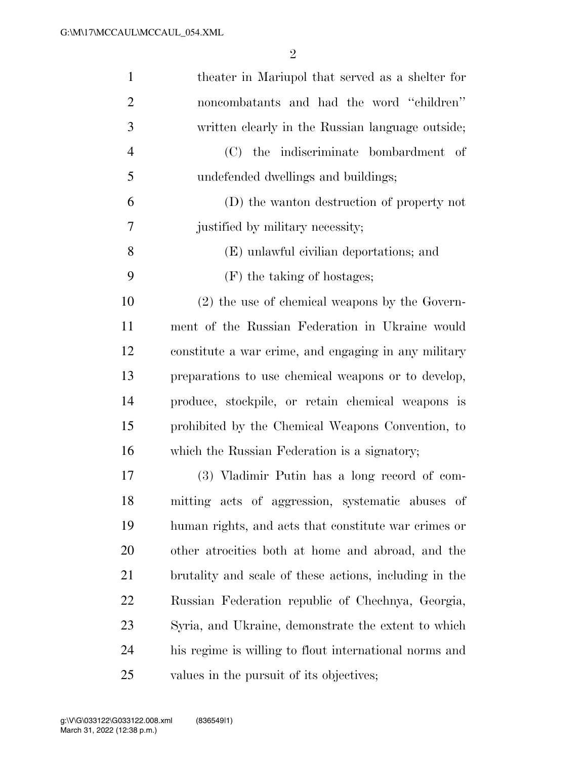| $\mathbf{1}$   | theater in Mariupol that served as a shelter for       |
|----------------|--------------------------------------------------------|
| $\overline{2}$ | noncombatants and had the word "children"              |
| 3              | written clearly in the Russian language outside;       |
| $\overline{4}$ | (C) the indiscriminate bombardment of                  |
| 5              | undefended dwellings and buildings;                    |
| 6              | (D) the wanton destruction of property not             |
| 7              | justified by military necessity;                       |
| 8              | (E) unlawful civilian deportations; and                |
| 9              | (F) the taking of hostages;                            |
| 10             | $(2)$ the use of chemical weapons by the Govern-       |
| 11             | ment of the Russian Federation in Ukraine would        |
| 12             | constitute a war crime, and engaging in any military   |
| 13             | preparations to use chemical weapons or to develop,    |
| 14             | produce, stockpile, or retain chemical weapons is      |
| 15             | prohibited by the Chemical Weapons Convention, to      |
| 16             | which the Russian Federation is a signatory;           |
| 17             | (3) Vladimir Putin has a long record of com-           |
| 18             | mitting acts of aggression, systematic abuses of       |
| 19             | human rights, and acts that constitute war crimes or   |
| <b>20</b>      | other atrocities both at home and abroad, and the      |
| 21             | brutality and scale of these actions, including in the |
| 22             | Russian Federation republic of Chechnya, Georgia,      |
| 23             | Syria, and Ukraine, demonstrate the extent to which    |
| 24             | his regime is willing to flout international norms and |
| 25             | values in the pursuit of its objectives;               |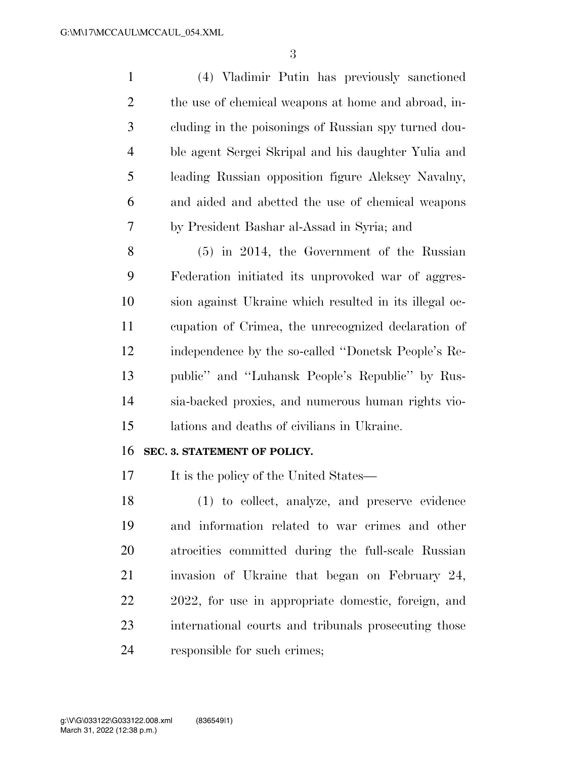| $\mathbf{1}$   | (4) Vladimir Putin has previously sanctioned           |
|----------------|--------------------------------------------------------|
| $\overline{2}$ | the use of chemical weapons at home and abroad, in-    |
| 3              | cluding in the poisonings of Russian spy turned dou-   |
| $\overline{4}$ | ble agent Sergei Skripal and his daughter Yulia and    |
| 5              | leading Russian opposition figure Aleksey Navalny,     |
| 6              | and aided and abetted the use of chemical weapons      |
| 7              | by President Bashar al-Assad in Syria; and             |
| 8              | $(5)$ in 2014, the Government of the Russian           |
| 9              | Federation initiated its unprovoked war of aggres-     |
| 10             | sion against Ukraine which resulted in its illegal oc- |
| 11             | cupation of Crimea, the unrecognized declaration of    |
| 12             | independence by the so-called "Donetsk People's Re-    |
| 13             | public" and "Luhansk People's Republic" by Rus-        |
| 14             | sia-backed proxies, and numerous human rights vio-     |
| 15             | lations and deaths of civilians in Ukraine.            |
| 16             | SEC. 3. STATEMENT OF POLICY.                           |
| 17             | It is the policy of the United States—                 |
| 18             | (1) to collect, analyze, and preserve evidence         |
| 19             | and information related to war crimes and other        |
| 20             | atrocities committed during the full-scale Russian     |
| 21             | invasion of Ukraine that began on February 24,         |
| 22             | 2022, for use in appropriate domestic, foreign, and    |
| 23             | international courts and tribunals prosecuting those   |
| 24             |                                                        |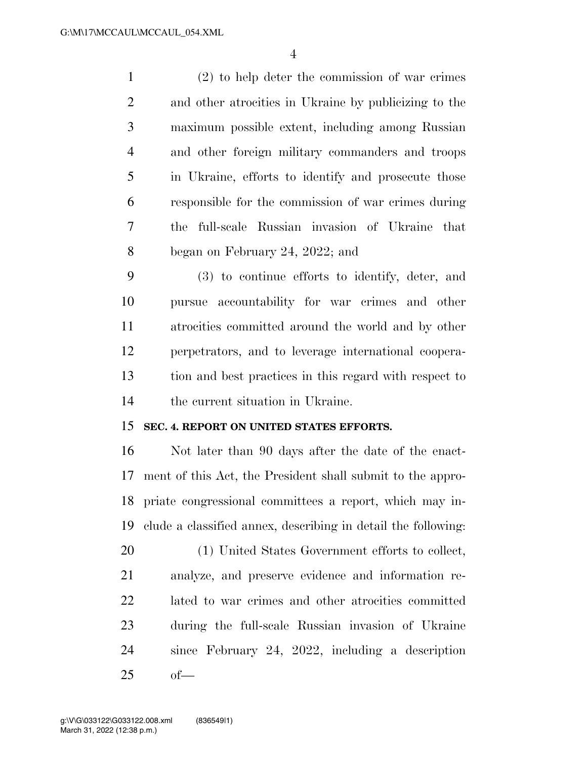(2) to help deter the commission of war crimes and other atrocities in Ukraine by publicizing to the maximum possible extent, including among Russian and other foreign military commanders and troops in Ukraine, efforts to identify and prosecute those responsible for the commission of war crimes during the full-scale Russian invasion of Ukraine that began on February 24, 2022; and

 (3) to continue efforts to identify, deter, and pursue accountability for war crimes and other atrocities committed around the world and by other perpetrators, and to leverage international coopera- tion and best practices in this regard with respect to the current situation in Ukraine.

## **SEC. 4. REPORT ON UNITED STATES EFFORTS.**

 Not later than 90 days after the date of the enact- ment of this Act, the President shall submit to the appro- priate congressional committees a report, which may in-clude a classified annex, describing in detail the following:

 (1) United States Government efforts to collect, analyze, and preserve evidence and information re- lated to war crimes and other atrocities committed during the full-scale Russian invasion of Ukraine since February 24, 2022, including a description of—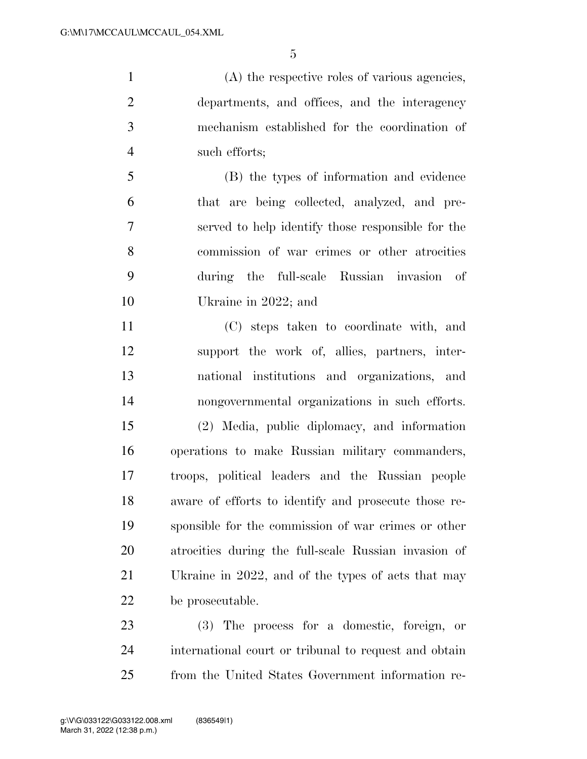(A) the respective roles of various agencies, departments, and offices, and the interagency mechanism established for the coordination of such efforts;

 (B) the types of information and evidence that are being collected, analyzed, and pre- served to help identify those responsible for the commission of war crimes or other atrocities during the full-scale Russian invasion of Ukraine in 2022; and

 (C) steps taken to coordinate with, and support the work of, allies, partners, inter- national institutions and organizations, and nongovernmental organizations in such efforts. (2) Media, public diplomacy, and information operations to make Russian military commanders, troops, political leaders and the Russian people aware of efforts to identify and prosecute those re- sponsible for the commission of war crimes or other atrocities during the full-scale Russian invasion of Ukraine in 2022, and of the types of acts that may be prosecutable.

 (3) The process for a domestic, foreign, or international court or tribunal to request and obtain from the United States Government information re-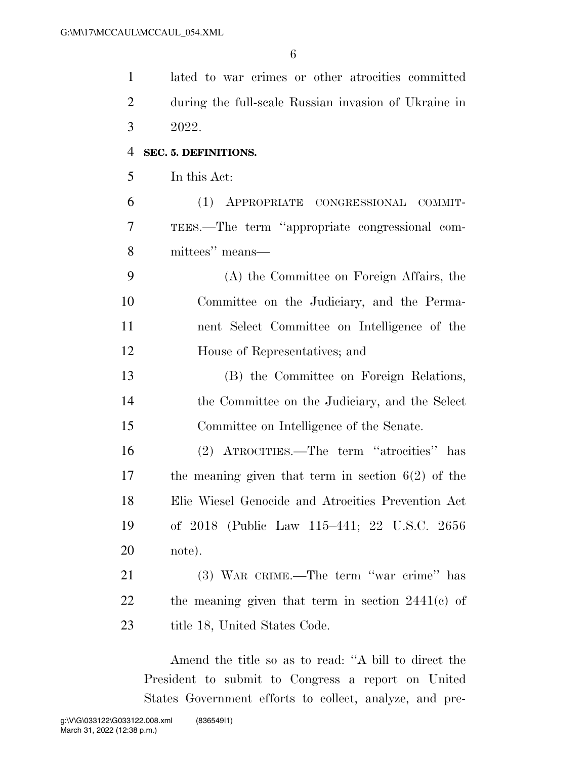| $\mathbf{1}$   | lated to war crimes or other atrocities committed    |
|----------------|------------------------------------------------------|
| $\overline{2}$ | during the full-scale Russian invasion of Ukraine in |
| 3              | 2022.                                                |
| 4              | SEC. 5. DEFINITIONS.                                 |
| 5              | In this Act:                                         |
| 6              | (1) APPROPRIATE CONGRESSIONAL COMMIT-                |
| 7              | TEES.—The term "appropriate congressional com-       |
| 8              | mittees" means—                                      |
| 9              | (A) the Committee on Foreign Affairs, the            |
| 10             | Committee on the Judiciary, and the Perma-           |
| 11             | nent Select Committee on Intelligence of the         |
| 12             | House of Representatives; and                        |
| 13             | (B) the Committee on Foreign Relations,              |
| 14             | the Committee on the Judiciary, and the Select       |
| 15             | Committee on Intelligence of the Senate.             |
| 16             | (2) ATROCITIES.—The term "atrocities" has            |
| 17             | the meaning given that term in section $6(2)$ of the |
| 18             | Elie Wiesel Genocide and Atrocities Prevention Act   |
| 19             | of 2018 (Public Law 115–441; 22 U.S.C. 2656          |
| 20             | note).                                               |
| 21             | (3) WAR CRIME.—The term "war crime" has              |
| 22             | the meaning given that term in section $2441(c)$ of  |
| 23             | title 18, United States Code.                        |

Amend the title so as to read: ''A bill to direct the President to submit to Congress a report on United States Government efforts to collect, analyze, and pre